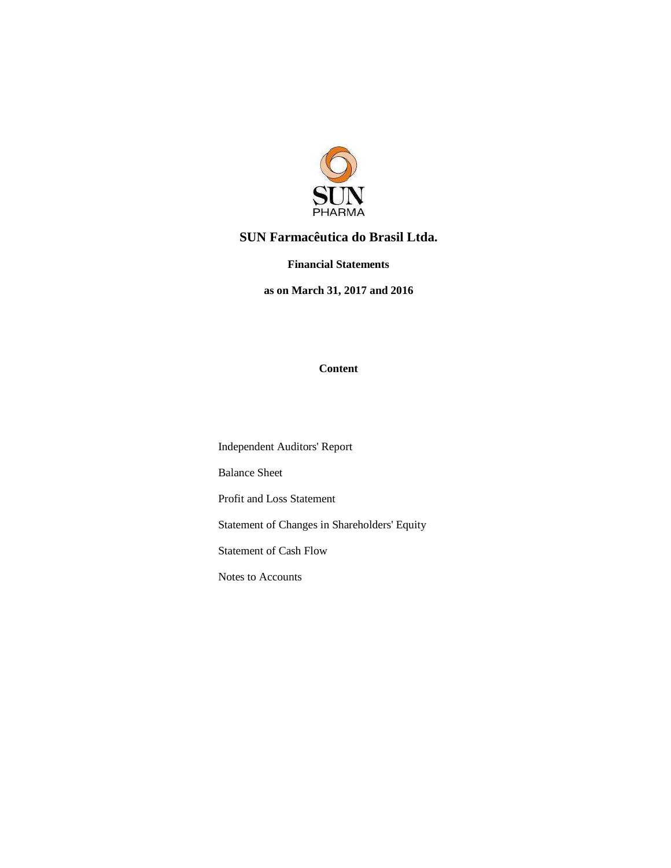

#### **SUN Farmacêutica do Brasil Ltda.**

**Financial Statements** 

**as on March 31, 2017 and 2016** 

#### **Content**

Independent Auditors' Report

Balance Sheet

Profit and Loss Statement

Statement of Changes in Shareholders' Equity

Statement of Cash Flow

Notes to Accounts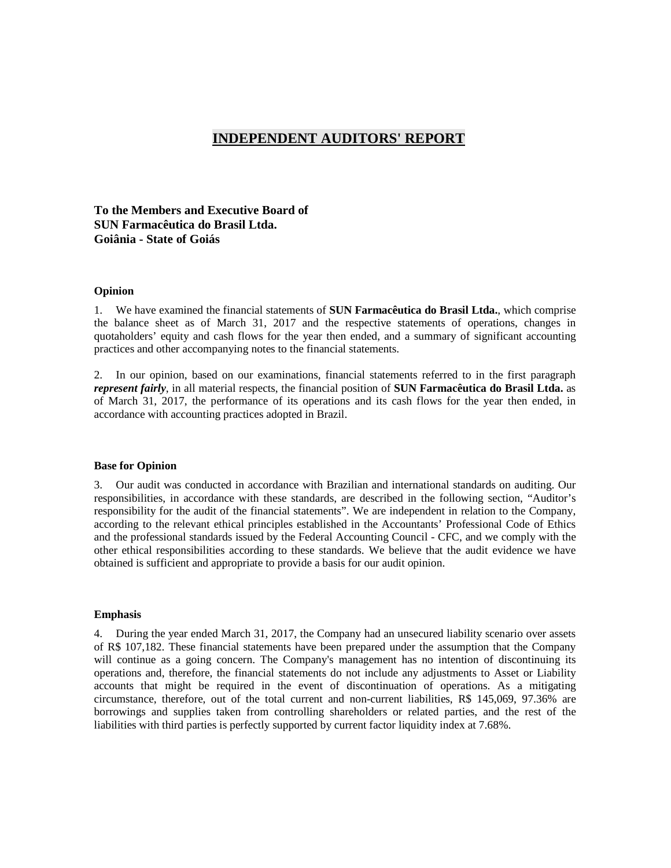#### **INDEPENDENT AUDITORS' REPORT**

**To the Members and Executive Board of SUN Farmacêutica do Brasil Ltda. Goiânia - State of Goiás** 

#### **Opinion**

1. We have examined the financial statements of **SUN Farmacêutica do Brasil Ltda.**, which comprise the balance sheet as of March 31, 2017 and the respective statements of operations, changes in quotaholders' equity and cash flows for the year then ended, and a summary of significant accounting practices and other accompanying notes to the financial statements.

2. In our opinion, based on our examinations, financial statements referred to in the first paragraph *represent fairly*, in all material respects, the financial position of **SUN Farmacêutica do Brasil Ltda.** as of March 31, 2017, the performance of its operations and its cash flows for the year then ended, in accordance with accounting practices adopted in Brazil.

#### **Base for Opinion**

3. Our audit was conducted in accordance with Brazilian and international standards on auditing. Our responsibilities, in accordance with these standards, are described in the following section, "Auditor's responsibility for the audit of the financial statements". We are independent in relation to the Company, according to the relevant ethical principles established in the Accountants' Professional Code of Ethics and the professional standards issued by the Federal Accounting Council - CFC, and we comply with the other ethical responsibilities according to these standards. We believe that the audit evidence we have obtained is sufficient and appropriate to provide a basis for our audit opinion.

#### **Emphasis**

4. During the year ended March 31, 2017, the Company had an unsecured liability scenario over assets of R\$ 107,182. These financial statements have been prepared under the assumption that the Company will continue as a going concern. The Company's management has no intention of discontinuing its operations and, therefore, the financial statements do not include any adjustments to Asset or Liability accounts that might be required in the event of discontinuation of operations. As a mitigating circumstance, therefore, out of the total current and non-current liabilities, R\$ 145,069, 97.36% are borrowings and supplies taken from controlling shareholders or related parties, and the rest of the liabilities with third parties is perfectly supported by current factor liquidity index at 7.68%.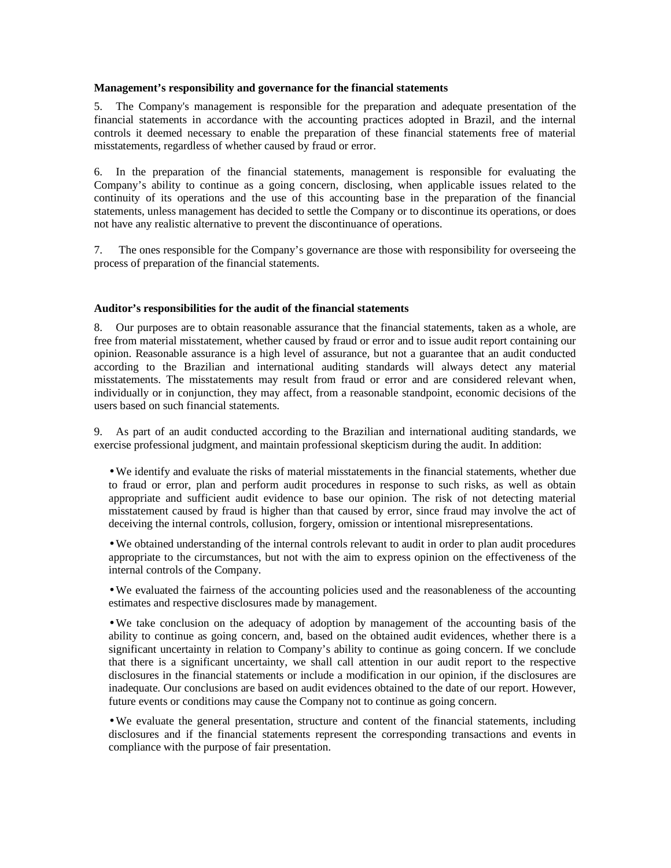#### **Management's responsibility and governance for the financial statements**

5. The Company's management is responsible for the preparation and adequate presentation of the financial statements in accordance with the accounting practices adopted in Brazil, and the internal controls it deemed necessary to enable the preparation of these financial statements free of material misstatements, regardless of whether caused by fraud or error.

6. In the preparation of the financial statements, management is responsible for evaluating the Company's ability to continue as a going concern, disclosing, when applicable issues related to the continuity of its operations and the use of this accounting base in the preparation of the financial statements, unless management has decided to settle the Company or to discontinue its operations, or does not have any realistic alternative to prevent the discontinuance of operations.

7. The ones responsible for the Company's governance are those with responsibility for overseeing the process of preparation of the financial statements.

#### **Auditor's responsibilities for the audit of the financial statements**

8. Our purposes are to obtain reasonable assurance that the financial statements, taken as a whole, are free from material misstatement, whether caused by fraud or error and to issue audit report containing our opinion. Reasonable assurance is a high level of assurance, but not a guarantee that an audit conducted according to the Brazilian and international auditing standards will always detect any material misstatements. The misstatements may result from fraud or error and are considered relevant when, individually or in conjunction, they may affect, from a reasonable standpoint, economic decisions of the users based on such financial statements.

9. As part of an audit conducted according to the Brazilian and international auditing standards, we exercise professional judgment, and maintain professional skepticism during the audit. In addition:

• We identify and evaluate the risks of material misstatements in the financial statements, whether due to fraud or error, plan and perform audit procedures in response to such risks, as well as obtain appropriate and sufficient audit evidence to base our opinion. The risk of not detecting material misstatement caused by fraud is higher than that caused by error, since fraud may involve the act of deceiving the internal controls, collusion, forgery, omission or intentional misrepresentations.

• We obtained understanding of the internal controls relevant to audit in order to plan audit procedures appropriate to the circumstances, but not with the aim to express opinion on the effectiveness of the internal controls of the Company.

• We evaluated the fairness of the accounting policies used and the reasonableness of the accounting estimates and respective disclosures made by management.

• We take conclusion on the adequacy of adoption by management of the accounting basis of the ability to continue as going concern, and, based on the obtained audit evidences, whether there is a significant uncertainty in relation to Company's ability to continue as going concern. If we conclude that there is a significant uncertainty, we shall call attention in our audit report to the respective disclosures in the financial statements or include a modification in our opinion, if the disclosures are inadequate. Our conclusions are based on audit evidences obtained to the date of our report. However, future events or conditions may cause the Company not to continue as going concern.

• We evaluate the general presentation, structure and content of the financial statements, including disclosures and if the financial statements represent the corresponding transactions and events in compliance with the purpose of fair presentation.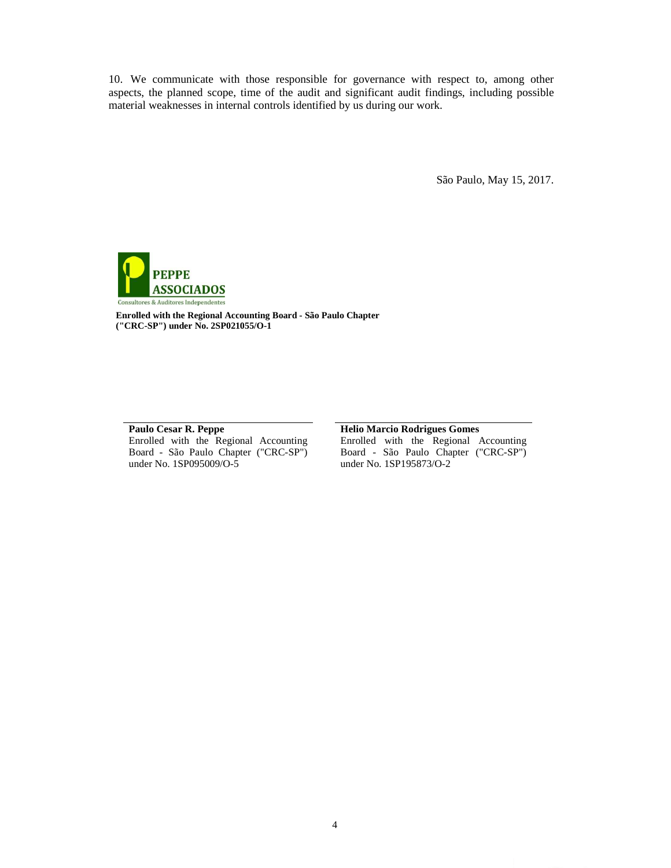10. We communicate with those responsible for governance with respect to, among other aspects, the planned scope, time of the audit and significant audit findings, including possible material weaknesses in internal controls identified by us during our work.

São Paulo, May 15, 2017.



**Enrolled with the Regional Accounting Board - São Paulo Chapter ("CRC-SP") under No. 2SP021055/O-1** 

#### **Paulo Cesar R. Peppe**

Enrolled with the Regional Accounting Board - São Paulo Chapter ("CRC-SP") under No. 1SP095009/O-5

#### **Helio Marcio Rodrigues Gomes**

Enrolled with the Regional Accounting Board - São Paulo Chapter ("CRC-SP") under No. 1SP195873/O-2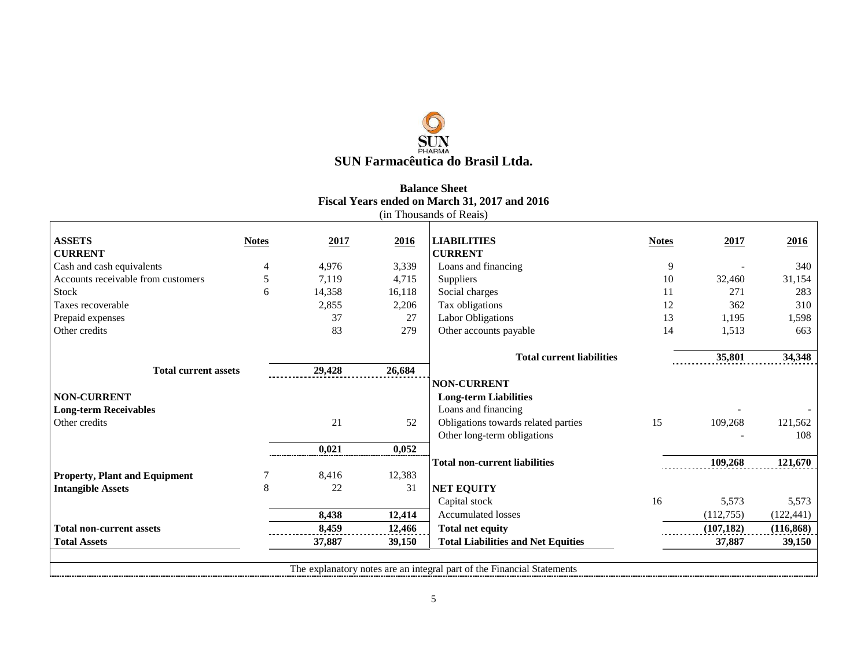## $\bigcirc$ **SUN Farmacêutica do Brasil Ltda.**

#### **Balance Sheet Fiscal Years ended on March 31, 2017 and 2016** (in Thousands of Reais)

| <b>Notes</b>                | 2017   | 2016   | <b>LIABILITIES</b>                        | <b>Notes</b>                                                           | 2017       | 2016       |
|-----------------------------|--------|--------|-------------------------------------------|------------------------------------------------------------------------|------------|------------|
|                             |        |        | <b>CURRENT</b>                            |                                                                        |            |            |
| 4                           | 4,976  | 3,339  | Loans and financing                       | 9                                                                      |            | 340        |
| 5                           | 7.119  | 4,715  | Suppliers                                 | 10                                                                     | 32,460     | 31,154     |
| 6                           | 14,358 | 16,118 | Social charges                            | 11                                                                     | 271        | 283        |
|                             | 2,855  | 2,206  | Tax obligations                           | 12                                                                     | 362        | 310        |
|                             | 37     | 27     | Labor Obligations                         | 13                                                                     | 1,195      | 1,598      |
|                             | 83     | 279    | Other accounts payable                    | 14                                                                     | 1,513      | 663        |
|                             |        |        |                                           |                                                                        |            |            |
|                             |        |        | <b>Total current liabilities</b>          |                                                                        | 35,801     | 34,348     |
| <b>Total current assets</b> | 29,428 | 26,684 |                                           |                                                                        |            |            |
|                             |        |        | <b>NON-CURRENT</b>                        |                                                                        |            |            |
|                             |        |        | <b>Long-term Liabilities</b>              |                                                                        |            |            |
|                             |        |        | Loans and financing                       |                                                                        |            |            |
|                             | 21     | 52     | Obligations towards related parties       | 15                                                                     | 109,268    | 121,562    |
|                             |        |        | Other long-term obligations               |                                                                        |            | 108        |
|                             | 0,021  | 0,052  |                                           |                                                                        |            |            |
|                             |        |        | <b>Total non-current liabilities</b>      |                                                                        | 109,268    | 121,670    |
|                             | 8,416  | 12,383 |                                           |                                                                        |            |            |
| 8                           | 22     | 31     | <b>NET EQUITY</b>                         |                                                                        |            |            |
|                             |        |        | Capital stock                             | 16                                                                     | 5,573      | 5,573      |
|                             | 8,438  | 12,414 | <b>Accumulated losses</b>                 |                                                                        | (112, 755) | (122, 441) |
|                             | 8,459  | 12,466 | <b>Total net equity</b>                   |                                                                        | (107, 182) | (116, 868) |
|                             | 37,887 | 39,150 | <b>Total Liabilities and Net Equities</b> |                                                                        | 37,887     | 39,150     |
|                             |        |        |                                           |                                                                        |            |            |
|                             |        |        |                                           |                                                                        |            |            |
|                             |        |        |                                           | The explanatory notes are an integral part of the Financial Statements |            |            |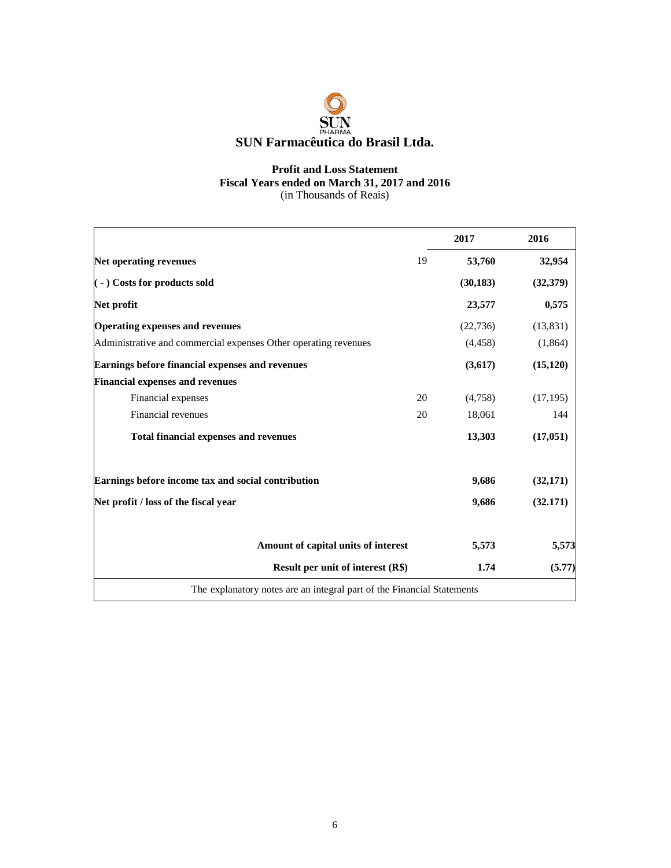

#### **Profit and Loss Statement Fiscal Years ended on March 31, 2017 and 2016**  (in Thousands of Reais)

|                                                                        |    | 2017      | 2016      |
|------------------------------------------------------------------------|----|-----------|-----------|
| <b>Net operating revenues</b>                                          | 19 | 53,760    | 32,954    |
| $($ - $)$ Costs for products sold                                      |    | (30, 183) | (32,379)  |
| Net profit                                                             |    | 23,577    | 0,575     |
| <b>Operating expenses and revenues</b>                                 |    | (22, 736) | (13, 831) |
| Administrative and commercial expenses Other operating revenues        |    | (4,458)   | (1,864)   |
| Earnings before financial expenses and revenues                        |    | (3,617)   | (15, 120) |
| <b>Financial expenses and revenues</b>                                 |    |           |           |
| Financial expenses                                                     | 20 | (4,758)   | (17, 195) |
| Financial revenues                                                     | 20 | 18,061    | 144       |
| <b>Total financial expenses and revenues</b>                           |    | 13,303    | (17,051)  |
| Earnings before income tax and social contribution                     |    | 9,686     | (32,171)  |
| Net profit / loss of the fiscal year                                   |    | 9,686     | (32.171)  |
| Amount of capital units of interest                                    |    | 5,573     | 5,573     |
| <b>Result per unit of interest (R\$)</b>                               |    | 1.74      | (5.77)    |
| The explanatory notes are an integral part of the Financial Statements |    |           |           |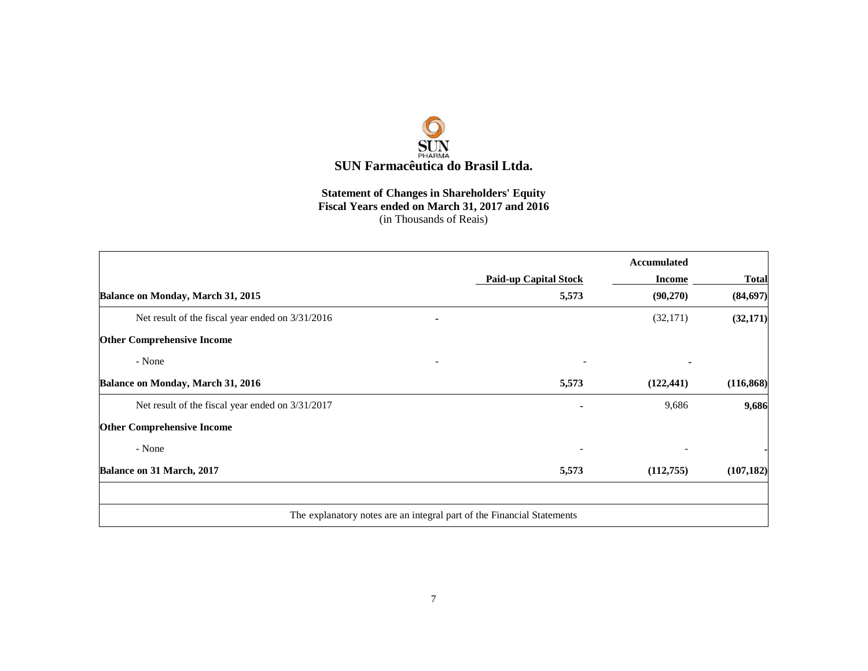

### **Statement of Changes in Shareholders' Equity Fiscal Years ended on March 31, 2017 and 2016**<br>
(in Thousands of Reais)

|                                                                        |                              | Accumulated   |              |
|------------------------------------------------------------------------|------------------------------|---------------|--------------|
|                                                                        | <b>Paid-up Capital Stock</b> | <b>Income</b> | <b>Total</b> |
| Balance on Monday, March 31, 2015                                      | 5,573                        | (90,270)      | (84, 697)    |
| Net result of the fiscal year ended on $3/31/2016$                     |                              | (32, 171)     | (32, 171)    |
| <b>Other Comprehensive Income</b>                                      |                              |               |              |
| - None                                                                 |                              |               |              |
| Balance on Monday, March 31, 2016                                      | 5,573                        | (122, 441)    | (116, 868)   |
| Net result of the fiscal year ended on 3/31/2017                       |                              | 9,686         | 9,686        |
| <b>Other Comprehensive Income</b>                                      |                              |               |              |
| - None                                                                 |                              |               |              |
| Balance on 31 March, 2017                                              | 5,573                        | (112,755)     | (107, 182)   |
|                                                                        |                              |               |              |
| The explanatory notes are an integral part of the Financial Statements |                              |               |              |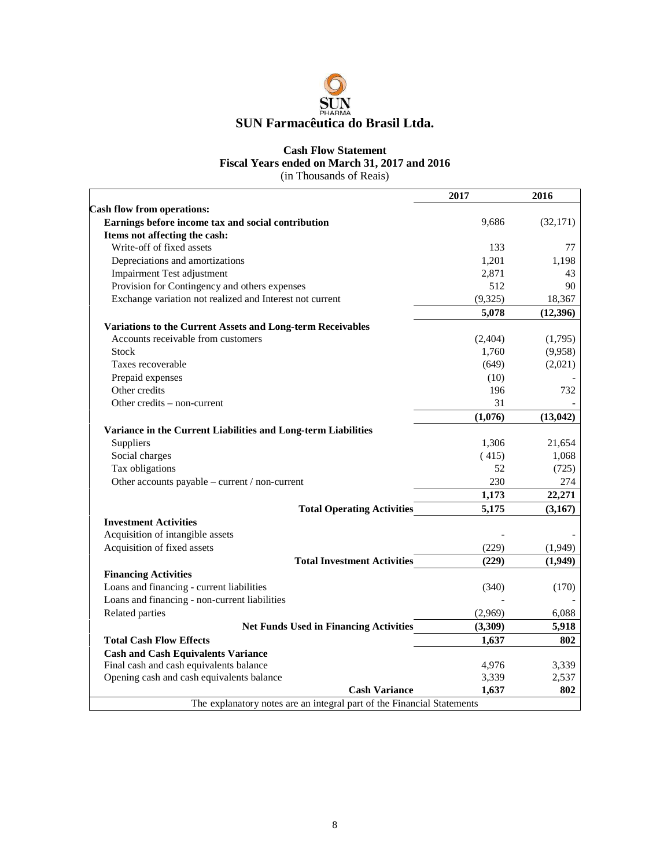

#### **Cash Flow Statement Fiscal Years ended on March 31, 2017 and 2016**

(in Thousands of Reais)

|                                                                        | 2017     | 2016      |
|------------------------------------------------------------------------|----------|-----------|
| <b>Cash flow from operations:</b>                                      |          |           |
| Earnings before income tax and social contribution                     | 9,686    | (32, 171) |
| Items not affecting the cash:                                          |          |           |
| Write-off of fixed assets                                              | 133      | 77        |
| Depreciations and amortizations                                        | 1,201    | 1,198     |
| <b>Impairment Test adjustment</b>                                      | 2,871    | 43        |
| Provision for Contingency and others expenses                          | 512      | 90        |
| Exchange variation not realized and Interest not current               | (9, 325) | 18,367    |
|                                                                        | 5,078    | (12,396)  |
| Variations to the Current Assets and Long-term Receivables             |          |           |
| Accounts receivable from customers                                     | (2,404)  | (1,795)   |
| Stock                                                                  | 1,760    | (9,958)   |
| Taxes recoverable                                                      | (649)    | (2,021)   |
| Prepaid expenses                                                       | (10)     |           |
| Other credits                                                          | 196      | 732       |
| Other credits – non-current                                            | 31       |           |
|                                                                        | (1,076)  | (13, 042) |
| Variance in the Current Liabilities and Long-term Liabilities          |          |           |
| Suppliers                                                              | 1,306    | 21,654    |
| Social charges                                                         | (415)    | 1,068     |
| Tax obligations                                                        | 52       | (725)     |
| Other accounts payable - current / non-current                         | 230      | 274       |
|                                                                        | 1,173    | 22,271    |
| <b>Total Operating Activities</b>                                      | 5,175    | (3,167)   |
| <b>Investment Activities</b>                                           |          |           |
| Acquisition of intangible assets                                       |          |           |
| Acquisition of fixed assets                                            | (229)    | (1,949)   |
| <b>Total Investment Activities</b>                                     | (229)    | (1,949)   |
| <b>Financing Activities</b>                                            |          |           |
| Loans and financing - current liabilities                              | (340)    | (170)     |
| Loans and financing - non-current liabilities                          |          |           |
| Related parties                                                        | (2,969)  | 6,088     |
| <b>Net Funds Used in Financing Activities</b>                          | (3,309)  | 5,918     |
| <b>Total Cash Flow Effects</b>                                         | 1,637    | 802       |
| <b>Cash and Cash Equivalents Variance</b>                              |          |           |
| Final cash and cash equivalents balance                                | 4,976    | 3,339     |
| Opening cash and cash equivalents balance                              | 3,339    | 2,537     |
| <b>Cash Variance</b>                                                   | 1,637    | 802       |
| The explanatory notes are an integral part of the Financial Statements |          |           |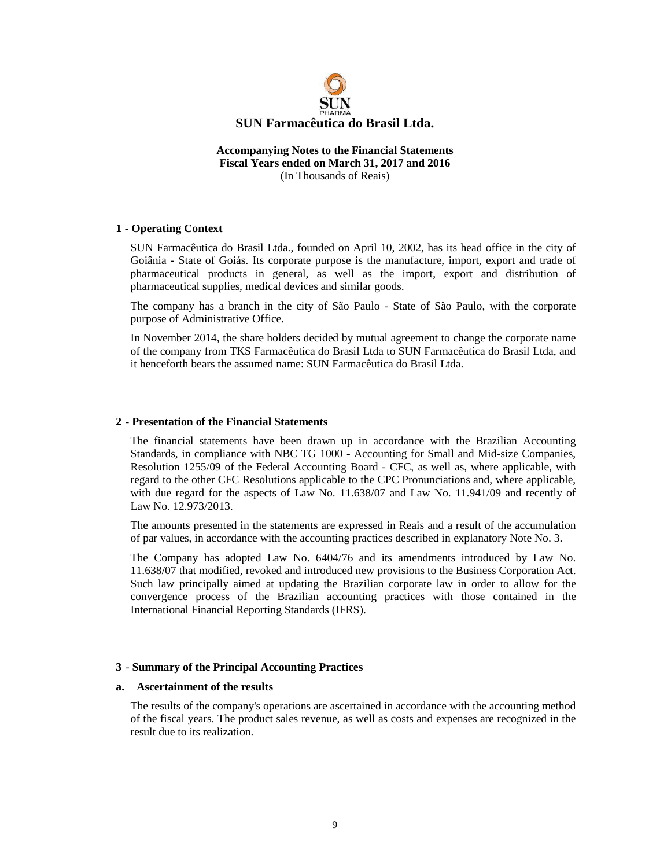

#### **Accompanying Notes to the Financial Statements Fiscal Years ended on March 31, 2017 and 2016**  (In Thousands of Reais)

#### **1 - Operating Context**

SUN Farmacêutica do Brasil Ltda., founded on April 10, 2002, has its head office in the city of Goiânia - State of Goiás. Its corporate purpose is the manufacture, import, export and trade of pharmaceutical products in general, as well as the import, export and distribution of pharmaceutical supplies, medical devices and similar goods.

The company has a branch in the city of São Paulo - State of São Paulo, with the corporate purpose of Administrative Office.

In November 2014, the share holders decided by mutual agreement to change the corporate name of the company from TKS Farmacêutica do Brasil Ltda to SUN Farmacêutica do Brasil Ltda, and it henceforth bears the assumed name: SUN Farmacêutica do Brasil Ltda.

#### **2 - Presentation of the Financial Statements**

The financial statements have been drawn up in accordance with the Brazilian Accounting Standards, in compliance with NBC TG 1000 - Accounting for Small and Mid-size Companies, Resolution 1255/09 of the Federal Accounting Board - CFC, as well as, where applicable, with regard to the other CFC Resolutions applicable to the CPC Pronunciations and, where applicable, with due regard for the aspects of Law No. 11.638/07 and Law No. 11.941/09 and recently of Law No. 12.973/2013.

The amounts presented in the statements are expressed in Reais and a result of the accumulation of par values, in accordance with the accounting practices described in explanatory Note No. 3.

The Company has adopted Law No. 6404/76 and its amendments introduced by Law No. 11.638/07 that modified, revoked and introduced new provisions to the Business Corporation Act. Such law principally aimed at updating the Brazilian corporate law in order to allow for the convergence process of the Brazilian accounting practices with those contained in the International Financial Reporting Standards (IFRS).

#### **3** - **Summary of the Principal Accounting Practices**

#### **a. Ascertainment of the results**

The results of the company's operations are ascertained in accordance with the accounting method of the fiscal years. The product sales revenue, as well as costs and expenses are recognized in the result due to its realization.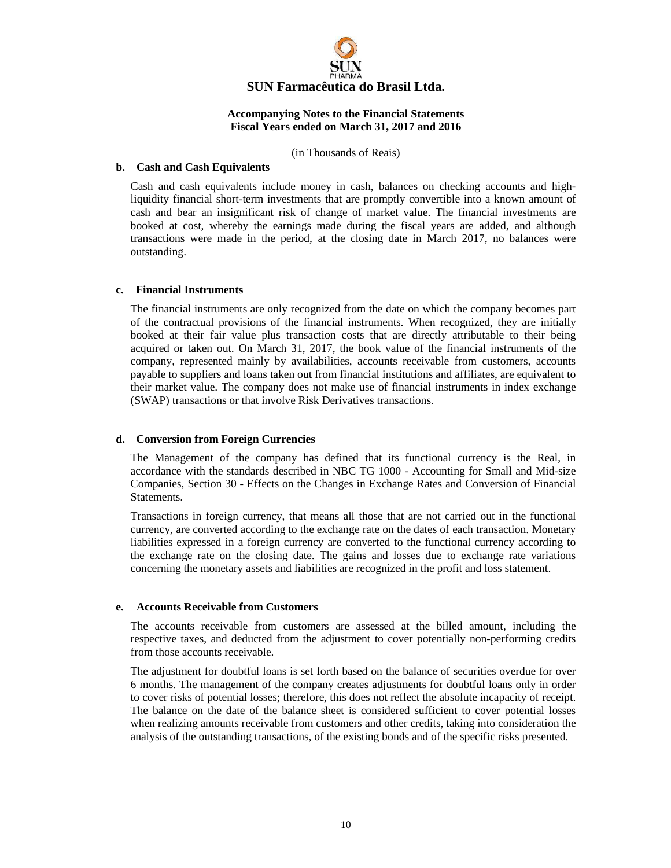

(in Thousands of Reais)

#### **b. Cash and Cash Equivalents**

Cash and cash equivalents include money in cash, balances on checking accounts and highliquidity financial short-term investments that are promptly convertible into a known amount of cash and bear an insignificant risk of change of market value. The financial investments are booked at cost, whereby the earnings made during the fiscal years are added, and although transactions were made in the period, at the closing date in March 2017, no balances were outstanding.

#### **c. Financial Instruments**

The financial instruments are only recognized from the date on which the company becomes part of the contractual provisions of the financial instruments. When recognized, they are initially booked at their fair value plus transaction costs that are directly attributable to their being acquired or taken out. On March 31, 2017, the book value of the financial instruments of the company, represented mainly by availabilities, accounts receivable from customers, accounts payable to suppliers and loans taken out from financial institutions and affiliates, are equivalent to their market value. The company does not make use of financial instruments in index exchange (SWAP) transactions or that involve Risk Derivatives transactions.

#### **d. Conversion from Foreign Currencies**

The Management of the company has defined that its functional currency is the Real, in accordance with the standards described in NBC TG 1000 - Accounting for Small and Mid-size Companies, Section 30 - Effects on the Changes in Exchange Rates and Conversion of Financial Statements.

Transactions in foreign currency, that means all those that are not carried out in the functional currency, are converted according to the exchange rate on the dates of each transaction. Monetary liabilities expressed in a foreign currency are converted to the functional currency according to the exchange rate on the closing date. The gains and losses due to exchange rate variations concerning the monetary assets and liabilities are recognized in the profit and loss statement.

#### **e. Accounts Receivable from Customers**

The accounts receivable from customers are assessed at the billed amount, including the respective taxes, and deducted from the adjustment to cover potentially non-performing credits from those accounts receivable.

The adjustment for doubtful loans is set forth based on the balance of securities overdue for over 6 months. The management of the company creates adjustments for doubtful loans only in order to cover risks of potential losses; therefore, this does not reflect the absolute incapacity of receipt. The balance on the date of the balance sheet is considered sufficient to cover potential losses when realizing amounts receivable from customers and other credits, taking into consideration the analysis of the outstanding transactions, of the existing bonds and of the specific risks presented.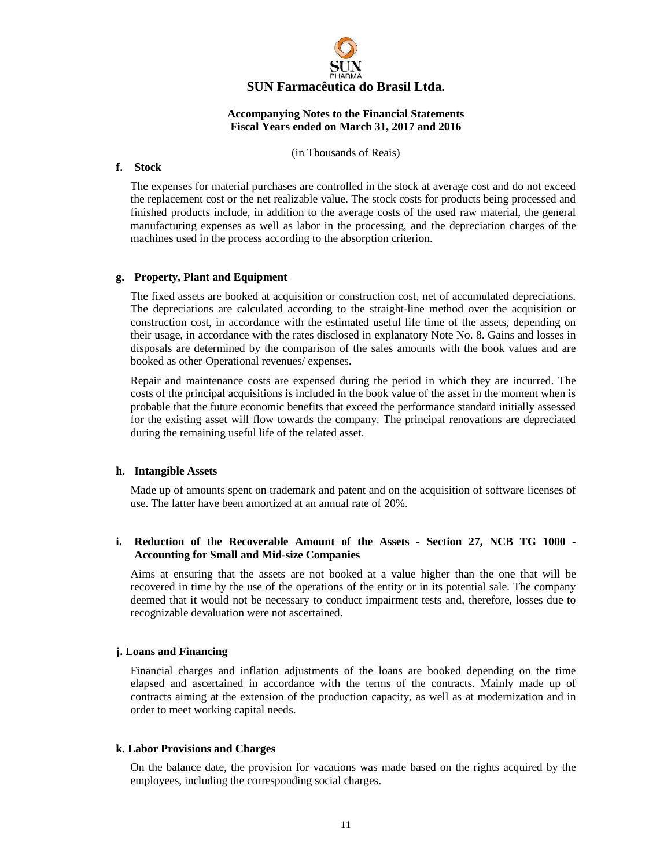

(in Thousands of Reais)

#### **f. Stock**

The expenses for material purchases are controlled in the stock at average cost and do not exceed the replacement cost or the net realizable value. The stock costs for products being processed and finished products include, in addition to the average costs of the used raw material, the general manufacturing expenses as well as labor in the processing, and the depreciation charges of the machines used in the process according to the absorption criterion.

#### **g. Property, Plant and Equipment**

The fixed assets are booked at acquisition or construction cost, net of accumulated depreciations. The depreciations are calculated according to the straight-line method over the acquisition or construction cost, in accordance with the estimated useful life time of the assets, depending on their usage, in accordance with the rates disclosed in explanatory Note No. 8. Gains and losses in disposals are determined by the comparison of the sales amounts with the book values and are booked as other Operational revenues/ expenses.

Repair and maintenance costs are expensed during the period in which they are incurred. The costs of the principal acquisitions is included in the book value of the asset in the moment when is probable that the future economic benefits that exceed the performance standard initially assessed for the existing asset will flow towards the company. The principal renovations are depreciated during the remaining useful life of the related asset.

#### **h. Intangible Assets**

Made up of amounts spent on trademark and patent and on the acquisition of software licenses of use. The latter have been amortized at an annual rate of 20%.

#### **i. Reduction of the Recoverable Amount of the Assets - Section 27, NCB TG 1000 - Accounting for Small and Mid-size Companies**

Aims at ensuring that the assets are not booked at a value higher than the one that will be recovered in time by the use of the operations of the entity or in its potential sale. The company deemed that it would not be necessary to conduct impairment tests and, therefore, losses due to recognizable devaluation were not ascertained.

#### **j. Loans and Financing**

Financial charges and inflation adjustments of the loans are booked depending on the time elapsed and ascertained in accordance with the terms of the contracts. Mainly made up of contracts aiming at the extension of the production capacity, as well as at modernization and in order to meet working capital needs.

#### **k. Labor Provisions and Charges**

On the balance date, the provision for vacations was made based on the rights acquired by the employees, including the corresponding social charges.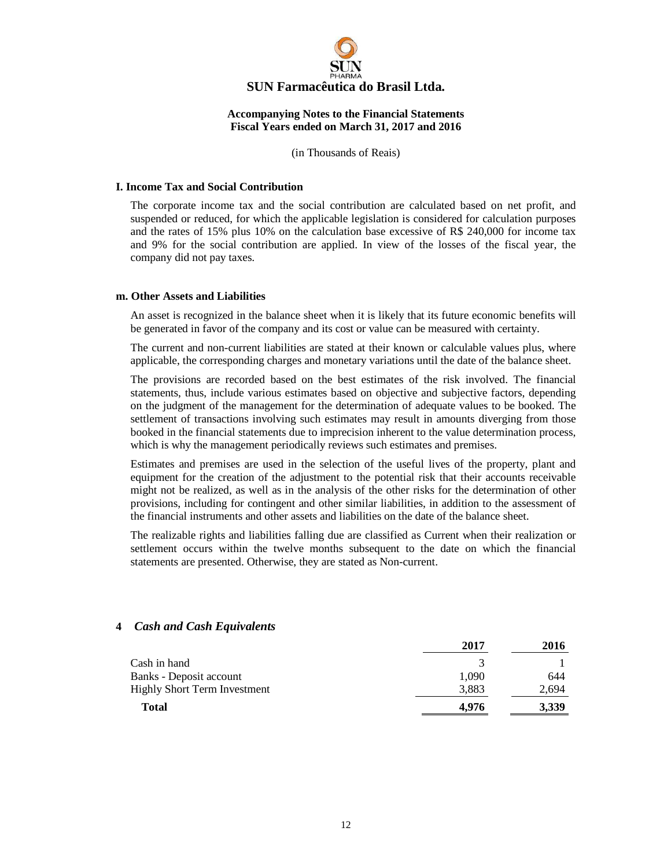

(in Thousands of Reais)

#### **I. Income Tax and Social Contribution**

The corporate income tax and the social contribution are calculated based on net profit, and suspended or reduced, for which the applicable legislation is considered for calculation purposes and the rates of 15% plus 10% on the calculation base excessive of R\$ 240,000 for income tax and 9% for the social contribution are applied. In view of the losses of the fiscal year, the company did not pay taxes.

#### **m. Other Assets and Liabilities**

An asset is recognized in the balance sheet when it is likely that its future economic benefits will be generated in favor of the company and its cost or value can be measured with certainty.

The current and non-current liabilities are stated at their known or calculable values plus, where applicable, the corresponding charges and monetary variations until the date of the balance sheet.

The provisions are recorded based on the best estimates of the risk involved. The financial statements, thus, include various estimates based on objective and subjective factors, depending on the judgment of the management for the determination of adequate values to be booked. The settlement of transactions involving such estimates may result in amounts diverging from those booked in the financial statements due to imprecision inherent to the value determination process, which is why the management periodically reviews such estimates and premises.

Estimates and premises are used in the selection of the useful lives of the property, plant and equipment for the creation of the adjustment to the potential risk that their accounts receivable might not be realized, as well as in the analysis of the other risks for the determination of other provisions, including for contingent and other similar liabilities, in addition to the assessment of the financial instruments and other assets and liabilities on the date of the balance sheet.

The realizable rights and liabilities falling due are classified as Current when their realization or settlement occurs within the twelve months subsequent to the date on which the financial statements are presented. Otherwise, they are stated as Non-current.

|                                     | 2017  | 2016  |
|-------------------------------------|-------|-------|
| Cash in hand                        | 3     |       |
| Banks - Deposit account             | 1.090 | 644   |
| <b>Highly Short Term Investment</b> | 3,883 | 2,694 |
| <b>Total</b>                        | 4.976 | 3,339 |

#### **4** *Cash and Cash Equivalents*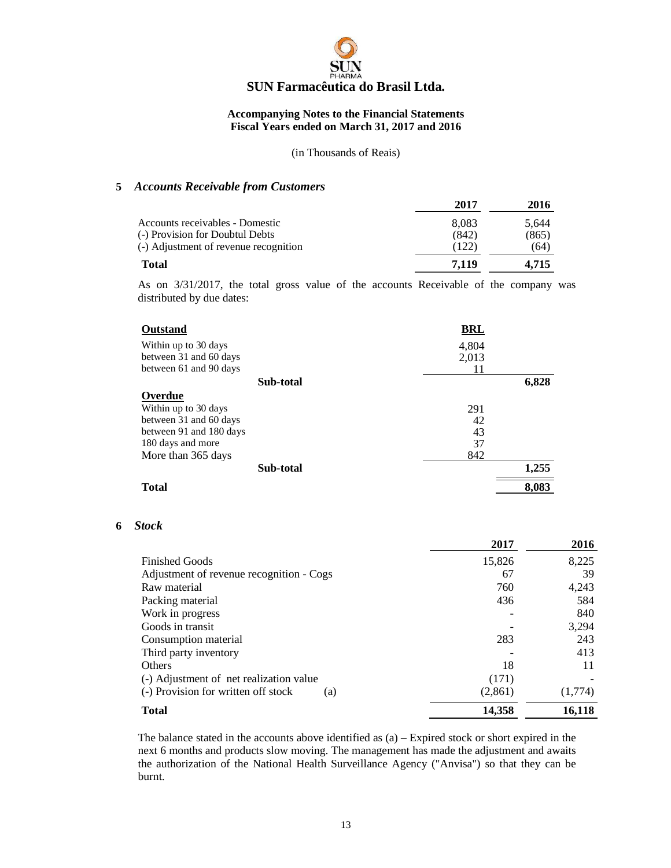

(in Thousands of Reais)

#### **5** *Accounts Receivable from Customers*

|                                       | 2017  | 2016  |
|---------------------------------------|-------|-------|
| Accounts receivables - Domestic       | 8.083 | 5.644 |
| (-) Provision for Doubtul Debts       | (842) | (865) |
| (-) Adjustment of revenue recognition | (122) | (64)  |
| Total                                 | 7.119 | 4.715 |

As on 3/31/2017, the total gross value of the accounts Receivable of the company was distributed by due dates:

| Outstand                | <b>BRL</b> |       |
|-------------------------|------------|-------|
| Within up to 30 days    | 4,804      |       |
| between 31 and 60 days  | 2,013      |       |
| between 61 and 90 days  | 11         |       |
| Sub-total               |            | 6,828 |
| Overdue                 |            |       |
| Within up to 30 days    | 291        |       |
| between 31 and 60 days  | 42         |       |
| between 91 and 180 days | 43         |       |
| 180 days and more       | 37         |       |
| More than 365 days      | 842        |       |
| Sub-total               |            | 1,255 |
| <b>Total</b>            |            | 8,083 |

#### **6** *Stock*

|                                            | 2017    | 2016    |
|--------------------------------------------|---------|---------|
| <b>Finished Goods</b>                      | 15,826  | 8,225   |
| Adjustment of revenue recognition - Cogs   | 67      | 39      |
| Raw material                               | 760     | 4,243   |
| Packing material                           | 436     | 584     |
| Work in progress                           |         | 840     |
| Goods in transit                           |         | 3,294   |
| Consumption material                       | 283     | 243     |
| Third party inventory                      |         | 413     |
| Others                                     | 18      | 11      |
| (-) Adjustment of net realization value    | (171)   |         |
| (-) Provision for written off stock<br>(a) | (2,861) | (1,774) |
| <b>Total</b>                               | 14,358  | 16,118  |

The balance stated in the accounts above identified as (a) – Expired stock or short expired in the next 6 months and products slow moving. The management has made the adjustment and awaits the authorization of the National Health Surveillance Agency ("Anvisa") so that they can be burnt.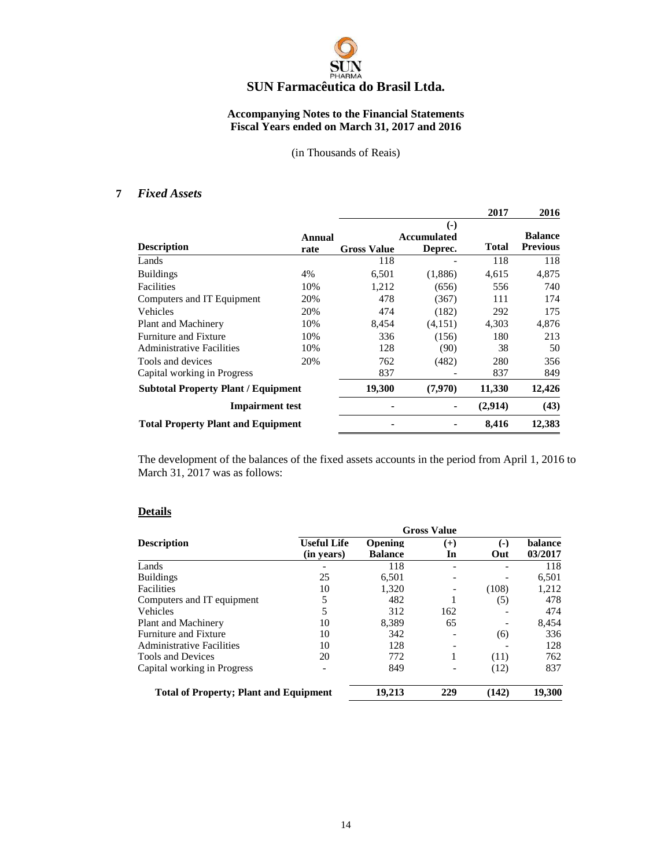

(in Thousands of Reais)

#### **7** *Fixed Assets*

|                                            |        |                    |                        | 2017         | 2016            |
|--------------------------------------------|--------|--------------------|------------------------|--------------|-----------------|
|                                            |        |                    | $\left( \cdot \right)$ |              |                 |
|                                            | Annual |                    | Accumulated            |              | <b>Balance</b>  |
| <b>Description</b>                         | rate   | <b>Gross Value</b> | Deprec.                | <b>Total</b> | <b>Previous</b> |
| Lands                                      |        | 118                |                        | 118          | 118             |
| <b>Buildings</b>                           | 4%     | 6,501              | (1,886)                | 4,615        | 4,875           |
| Facilities                                 | 10%    | 1,212              | (656)                  | 556          | 740             |
| Computers and IT Equipment                 | 20%    | 478                | (367)                  | 111          | 174             |
| Vehicles                                   | 20%    | 474                | (182)                  | 292          | 175             |
| Plant and Machinery                        | 10%    | 8,454              | (4,151)                | 4,303        | 4,876           |
| <b>Furniture and Fixture</b>               | 10%    | 336                | (156)                  | 180          | 213             |
| <b>Administrative Facilities</b>           | 10%    | 128                | (90)                   | 38           | 50              |
| Tools and devices                          | 20%    | 762                | (482)                  | 280          | 356             |
| Capital working in Progress                |        | 837                |                        | 837          | 849             |
| <b>Subtotal Property Plant / Equipment</b> |        | 19,300             | (7,970)                | 11,330       | 12,426          |
| <b>Impairment test</b>                     |        |                    |                        | (2,914)      | (43)            |
| <b>Total Property Plant and Equipment</b>  |        |                    |                        | 8,416        | 12,383          |

The development of the balances of the fixed assets accounts in the period from April 1, 2016 to March 31, 2017 was as follows:

#### **Details**

|                                               | <b>Gross Value</b> |                |       |       |         |
|-----------------------------------------------|--------------------|----------------|-------|-------|---------|
| <b>Description</b>                            | <b>Useful Life</b> | <b>Opening</b> | $(+)$ | $(-)$ | balance |
|                                               | (in years)         | <b>Balance</b> | In    | Out   | 03/2017 |
| Lands                                         |                    | 118            |       |       | 118     |
| <b>Buildings</b>                              | 25                 | 6,501          |       |       | 6,501   |
| <b>Facilities</b>                             | 10                 | 1.320          |       | (108) | 1,212   |
| Computers and IT equipment                    | 5                  | 482            |       | (5)   | 478     |
| <b>Vehicles</b>                               | 5                  | 312            | 162   |       | 474     |
| Plant and Machinery                           | 10                 | 8.389          | 65    |       | 8,454   |
| Furniture and Fixture                         | 10                 | 342            |       | (6)   | 336     |
| <b>Administrative Facilities</b>              | 10                 | 128            |       |       | 128     |
| <b>Tools and Devices</b>                      | 20                 | 772            |       | (11)  | 762     |
| Capital working in Progress                   |                    | 849            |       | (12)  | 837     |
| <b>Total of Property; Plant and Equipment</b> |                    | 19,213         | 229   | (142) | 19,300  |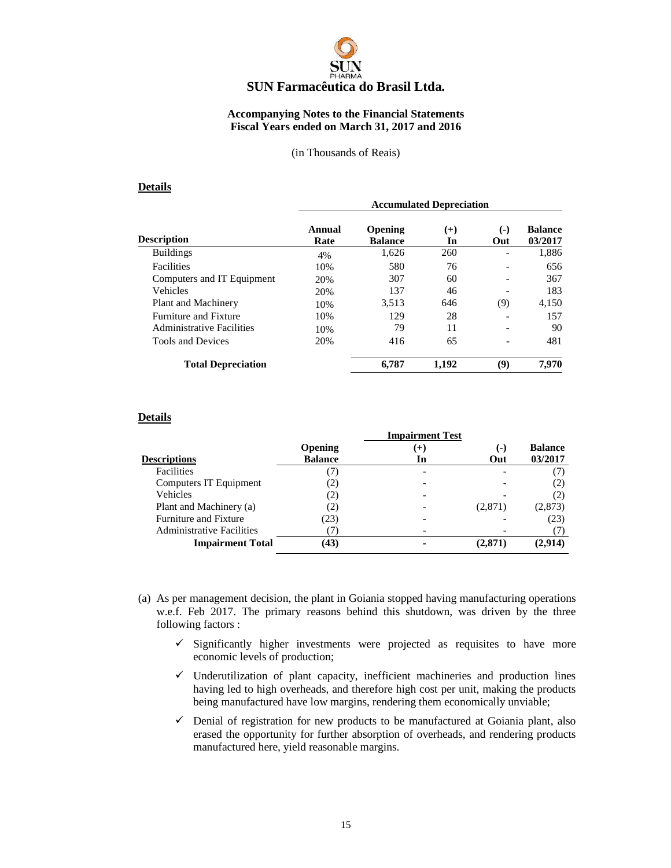# **SUN Farmacêutica do Brasil Ltda.**

#### **Accompanying Notes to the Financial Statements Fiscal Years ended on March 31, 2017 and 2016**

#### (in Thousands of Reais)

#### **Details**

|                            |                | <b>Accumulated Depreciation</b> |                |              |                           |
|----------------------------|----------------|---------------------------------|----------------|--------------|---------------------------|
| Description                | Annual<br>Rate | Opening<br><b>Balance</b>       | $^{(+)}$<br>In | $(-)$<br>Out | <b>Balance</b><br>03/2017 |
| <b>Buildings</b>           | 4%             | 1,626                           | 260            | ۰            | 1,886                     |
| <b>Facilities</b>          | 10%            | 580                             | 76             |              | 656                       |
| Computers and IT Equipment | 20%            | 307                             | 60             |              | 367                       |
| Vehicles                   | 20%            | 137                             | 46             |              | 183                       |
| Plant and Machinery        | 10%            | 3,513                           | 646            | (9)          | 4,150                     |
| Furniture and Fixture      | 10%            | 129                             | 28             |              | 157                       |
| Administrative Facilities  | 10%            | 79                              | 11             |              | 90                        |
| <b>Tools and Devices</b>   | 20%            | 416                             | 65             |              | 481                       |
| <b>Total Depreciation</b>  |                | 6,787                           | 1,192          | (9)          | 7,970                     |

#### **Details**

|                                  | <b>Impairment Test</b> |     |         |                |  |
|----------------------------------|------------------------|-----|---------|----------------|--|
|                                  | <b>Opening</b>         | (+) | (-)     | <b>Balance</b> |  |
| <b>Descriptions</b>              | <b>Balance</b>         | In  | Out     | 03/2017        |  |
| Facilities                       | $\cdot$ $\cdot$        | ۰   |         | (7)            |  |
| Computers IT Equipment           | $\left( 2\right)$      |     |         | (2)            |  |
| Vehicles                         | 2)                     |     |         | (2)            |  |
| Plant and Machinery (a)          | 2)                     |     | (2,871) | (2, 873)       |  |
| <b>Furniture and Fixture</b>     | (23)                   |     |         | (23)           |  |
| <b>Administrative Facilities</b> |                        |     |         | (7)            |  |
| <b>Impairment Total</b>          | (43)                   |     | (2.871  | (2.914)        |  |

- (a) As per management decision, the plant in Goiania stopped having manufacturing operations w.e.f. Feb 2017. The primary reasons behind this shutdown, was driven by the three following factors :
	- $\checkmark$  Significantly higher investments were projected as requisites to have more economic levels of production;
	- $\checkmark$  Underutilization of plant capacity, inefficient machineries and production lines having led to high overheads, and therefore high cost per unit, making the products being manufactured have low margins, rendering them economically unviable;
	- $\checkmark$  Denial of registration for new products to be manufactured at Goiania plant, also erased the opportunity for further absorption of overheads, and rendering products manufactured here, yield reasonable margins.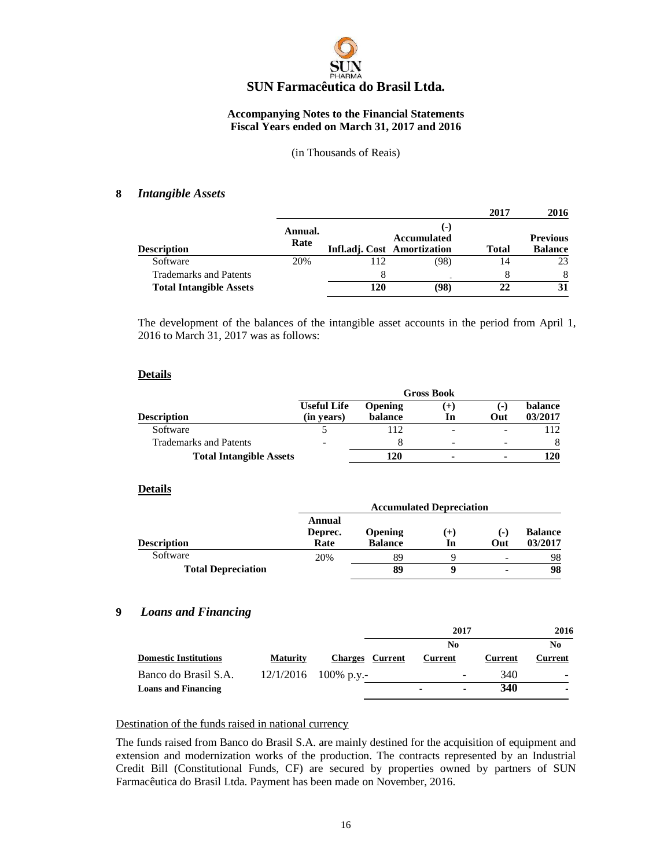

#### (in Thousands of Reais)

#### **8** *Intangible Assets*

|                                                                 |                 |          |                                                            | 2017         | 2016                              |
|-----------------------------------------------------------------|-----------------|----------|------------------------------------------------------------|--------------|-----------------------------------|
| <b>Description</b>                                              | Annual.<br>Rate |          | $(-)$<br><b>Accumulated</b><br>Infl.adj. Cost Amortization | <b>Total</b> | <b>Previous</b><br><b>Balance</b> |
| Software                                                        | 20%             | 112      | (98)                                                       | 14           | 23                                |
| <b>Trademarks and Patents</b><br><b>Total Intangible Assets</b> |                 | 8<br>120 | (98)                                                       | 22           | 8<br>31                           |

The development of the balances of the intangible asset accounts in the period from April 1, 2016 to March 31, 2017 was as follows:

#### **Details**

|                                | <b>Gross Book</b>                |                           |                |              |                    |
|--------------------------------|----------------------------------|---------------------------|----------------|--------------|--------------------|
| <b>Description</b>             | <b>Useful Life</b><br>(in years) | <b>Opening</b><br>balance | In             | l – I<br>Out | balance<br>03/2017 |
| Software                       |                                  | 112                       | -              |              |                    |
| <b>Trademarks and Patents</b>  | -                                |                           | -              |              | 8                  |
| <b>Total Intangible Assets</b> |                                  | 120                       | $\blacksquare$ |              | 120                |

#### **Details**

|                           |                           | <b>Accumulated Depreciation</b> |             |                          |                           |  |
|---------------------------|---------------------------|---------------------------------|-------------|--------------------------|---------------------------|--|
| <b>Description</b>        | Annual<br>Deprec.<br>Rate | Opening<br><b>Balance</b>       | $(+)$<br>In | $(-)$<br>Out             | <b>Balance</b><br>03/2017 |  |
| Software                  | 20%                       | 89                              |             | $\overline{\phantom{0}}$ | 98                        |  |
| <b>Total Depreciation</b> |                           | 89                              |             | $\blacksquare$           | 98                        |  |

#### **9** *Loans and Financing*

|                              |                 |                        | 2017                     |         | 2016                     |
|------------------------------|-----------------|------------------------|--------------------------|---------|--------------------------|
|                              |                 |                        | No                       |         | No                       |
| <b>Domestic Institutions</b> | <b>Maturity</b> | <b>Charges</b> Current | Current                  | Current | Current                  |
| Banco do Brasil S.A.         |                 | $12/1/2016$ 100% p.y.- | $\overline{\phantom{0}}$ | 340     | $\overline{\phantom{0}}$ |
| <b>Loans and Financing</b>   |                 |                        | ۰                        | 340     |                          |

#### Destination of the funds raised in national currency

The funds raised from Banco do Brasil S.A. are mainly destined for the acquisition of equipment and extension and modernization works of the production. The contracts represented by an Industrial Credit Bill (Constitutional Funds, CF) are secured by properties owned by partners of SUN Farmacêutica do Brasil Ltda. Payment has been made on November, 2016.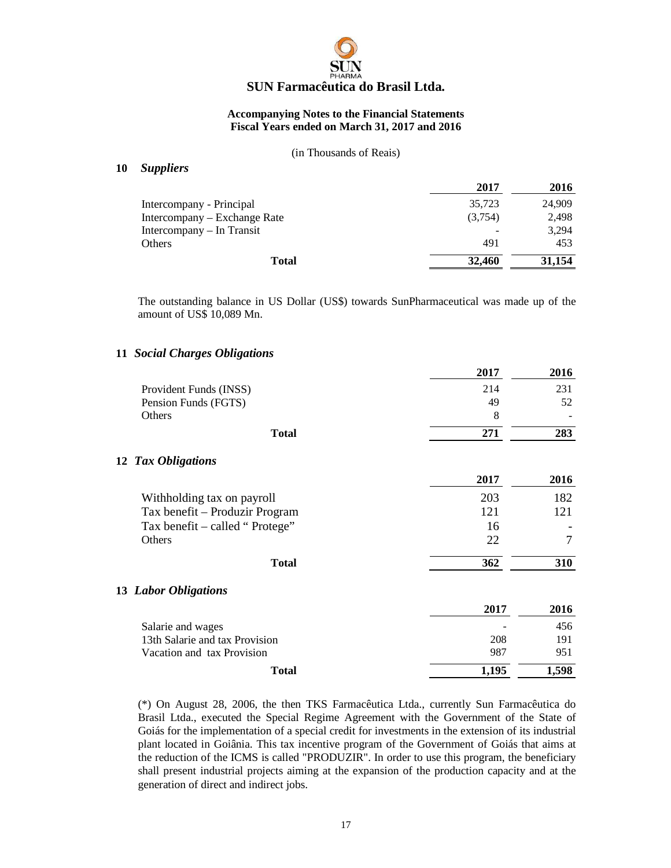

#### (in Thousands of Reais)

#### **10** *Suppliers*

|                              | 2017    | 2016   |
|------------------------------|---------|--------|
| Intercompany - Principal     | 35,723  | 24,909 |
| Intercompany – Exchange Rate | (3,754) | 2,498  |
| Intercompany – In Transit    |         | 3,294  |
| Others                       | 491     | 453    |
| <b>Total</b>                 | 32,460  | 31,154 |

The outstanding balance in US Dollar (US\$) towards SunPharmaceutical was made up of the amount of US\$ 10,089 Mn.

#### **11** *Social Charges Obligations*

| 2017  | 2016  |
|-------|-------|
| 214   | 231   |
| 49    | 52    |
| 8     |       |
| 271   | 283   |
|       |       |
| 2017  | 2016  |
| 203   | 182   |
| 121   | 121   |
| 16    |       |
| 22    | 7     |
| 362   | 310   |
|       |       |
| 2017  | 2016  |
|       | 456   |
| 208   | 191   |
| 987   | 951   |
| 1,195 | 1,598 |
|       |       |

(\*) On August 28, 2006, the then TKS Farmacêutica Ltda., currently Sun Farmacêutica do Brasil Ltda., executed the Special Regime Agreement with the Government of the State of Goiás for the implementation of a special credit for investments in the extension of its industrial plant located in Goiânia. This tax incentive program of the Government of Goiás that aims at the reduction of the ICMS is called "PRODUZIR". In order to use this program, the beneficiary shall present industrial projects aiming at the expansion of the production capacity and at the generation of direct and indirect jobs.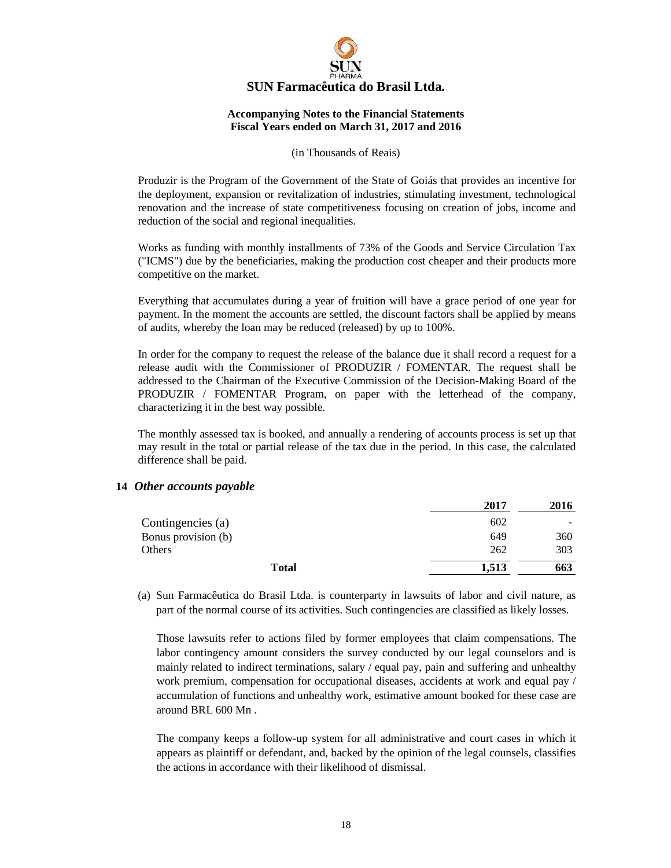

#### (in Thousands of Reais)

Produzir is the Program of the Government of the State of Goiás that provides an incentive for the deployment, expansion or revitalization of industries, stimulating investment, technological renovation and the increase of state competitiveness focusing on creation of jobs, income and reduction of the social and regional inequalities.

Works as funding with monthly installments of 73% of the Goods and Service Circulation Tax ("ICMS") due by the beneficiaries, making the production cost cheaper and their products more competitive on the market.

Everything that accumulates during a year of fruition will have a grace period of one year for payment. In the moment the accounts are settled, the discount factors shall be applied by means of audits, whereby the loan may be reduced (released) by up to 100%.

In order for the company to request the release of the balance due it shall record a request for a release audit with the Commissioner of PRODUZIR / FOMENTAR. The request shall be addressed to the Chairman of the Executive Commission of the Decision-Making Board of the PRODUZIR / FOMENTAR Program, on paper with the letterhead of the company, characterizing it in the best way possible.

The monthly assessed tax is booked, and annually a rendering of accounts process is set up that may result in the total or partial release of the tax due in the period. In this case, the calculated difference shall be paid.

#### **14** *Other accounts payable*

|                     | 2017  | 2016 |
|---------------------|-------|------|
| Contingencies (a)   | 602   |      |
| Bonus provision (b) | 649   | 360  |
| Others              | 262   | 303  |
| <b>Total</b>        | 1.513 | 663  |

(a) Sun Farmacêutica do Brasil Ltda. is counterparty in lawsuits of labor and civil nature, as part of the normal course of its activities. Such contingencies are classified as likely losses.

Those lawsuits refer to actions filed by former employees that claim compensations. The labor contingency amount considers the survey conducted by our legal counselors and is mainly related to indirect terminations, salary / equal pay, pain and suffering and unhealthy work premium, compensation for occupational diseases, accidents at work and equal pay / accumulation of functions and unhealthy work, estimative amount booked for these case are around BRL 600 Mn .

The company keeps a follow-up system for all administrative and court cases in which it appears as plaintiff or defendant, and, backed by the opinion of the legal counsels, classifies the actions in accordance with their likelihood of dismissal.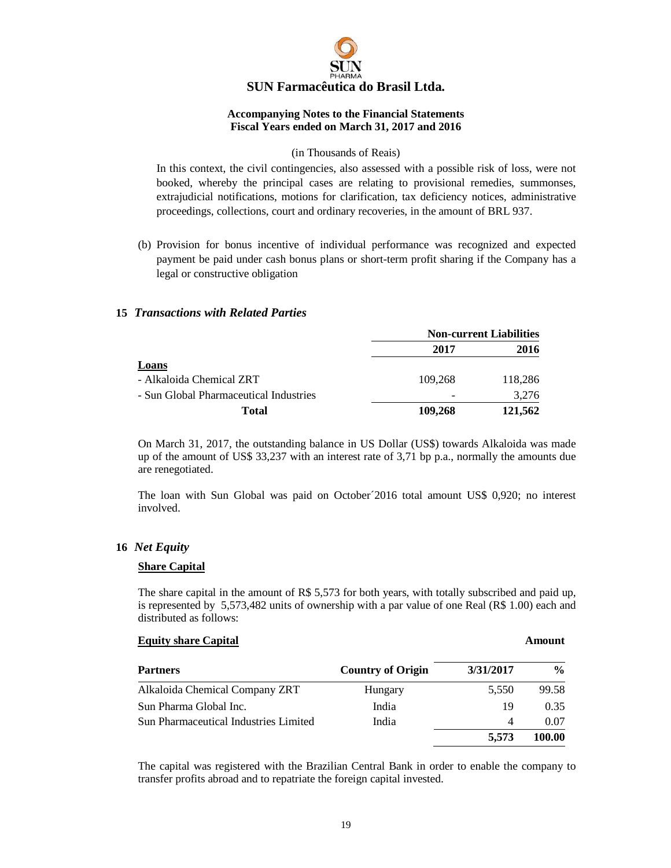

#### (in Thousands of Reais)

In this context, the civil contingencies, also assessed with a possible risk of loss, were not booked, whereby the principal cases are relating to provisional remedies, summonses, extrajudicial notifications, motions for clarification, tax deficiency notices, administrative proceedings, collections, court and ordinary recoveries, in the amount of BRL 937.

(b) Provision for bonus incentive of individual performance was recognized and expected payment be paid under cash bonus plans or short-term profit sharing if the Company has a legal or constructive obligation

#### **15** *Transactions with Related Parties*

|                                        | <b>Non-current Liabilities</b> |             |
|----------------------------------------|--------------------------------|-------------|
|                                        | 2017                           | <b>2016</b> |
| Loans                                  |                                |             |
| - Alkaloida Chemical ZRT               | 109.268                        | 118,286     |
| - Sun Global Pharmaceutical Industries |                                | 3.276       |
| Total                                  | 109,268                        | 121,562     |

On March 31, 2017, the outstanding balance in US Dollar (US\$) towards Alkaloida was made up of the amount of US\$ 33,237 with an interest rate of 3,71 bp p.a., normally the amounts due are renegotiated.

The loan with Sun Global was paid on October´2016 total amount US\$ 0,920; no interest involved.

#### **16** *Net Equity*

#### **Share Capital**

The share capital in the amount of R\$ 5,573 for both years, with totally subscribed and paid up, is represented by 5,573,482 units of ownership with a par value of one Real (R\$ 1.00) each and distributed as follows:

#### **Equity share Capital Amount** Amount

| <b>Partners</b>                              | <b>Country of Origin</b> | 3/31/2017 | $\frac{0}{0}$ |
|----------------------------------------------|--------------------------|-----------|---------------|
| Alkaloida Chemical Company ZRT               | Hungary                  | 5.550     | 99.58         |
| Sun Pharma Global Inc.                       | India                    | 19        | 0.35          |
| <b>Sun Pharmaceutical Industries Limited</b> | India                    | 4         | 0.07          |
|                                              |                          | 5.573     | 100.00        |

The capital was registered with the Brazilian Central Bank in order to enable the company to transfer profits abroad and to repatriate the foreign capital invested.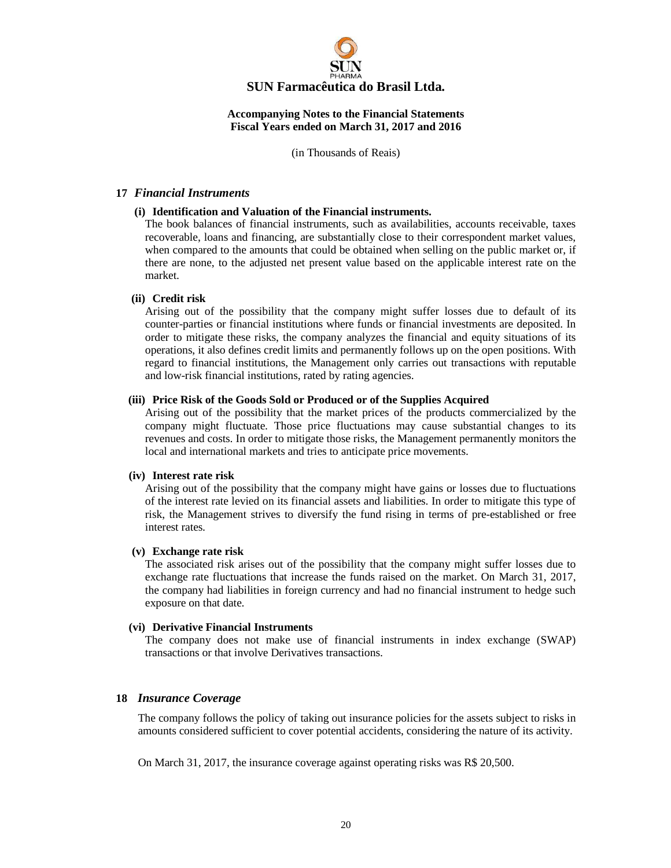

(in Thousands of Reais)

#### **17** *Financial Instruments*

#### **(i) Identification and Valuation of the Financial instruments.**

The book balances of financial instruments, such as availabilities, accounts receivable, taxes recoverable, loans and financing, are substantially close to their correspondent market values, when compared to the amounts that could be obtained when selling on the public market or, if there are none, to the adjusted net present value based on the applicable interest rate on the market.

#### **(ii) Credit risk**

Arising out of the possibility that the company might suffer losses due to default of its counter-parties or financial institutions where funds or financial investments are deposited. In order to mitigate these risks, the company analyzes the financial and equity situations of its operations, it also defines credit limits and permanently follows up on the open positions. With regard to financial institutions, the Management only carries out transactions with reputable and low-risk financial institutions, rated by rating agencies.

#### **(iii) Price Risk of the Goods Sold or Produced or of the Supplies Acquired**

Arising out of the possibility that the market prices of the products commercialized by the company might fluctuate. Those price fluctuations may cause substantial changes to its revenues and costs. In order to mitigate those risks, the Management permanently monitors the local and international markets and tries to anticipate price movements.

#### **(iv) Interest rate risk**

Arising out of the possibility that the company might have gains or losses due to fluctuations of the interest rate levied on its financial assets and liabilities. In order to mitigate this type of risk, the Management strives to diversify the fund rising in terms of pre-established or free interest rates.

#### **(v) Exchange rate risk**

The associated risk arises out of the possibility that the company might suffer losses due to exchange rate fluctuations that increase the funds raised on the market. On March 31, 2017, the company had liabilities in foreign currency and had no financial instrument to hedge such exposure on that date.

#### **(vi) Derivative Financial Instruments**

The company does not make use of financial instruments in index exchange (SWAP) transactions or that involve Derivatives transactions.

#### **18** *Insurance Coverage*

The company follows the policy of taking out insurance policies for the assets subject to risks in amounts considered sufficient to cover potential accidents, considering the nature of its activity.

On March 31, 2017, the insurance coverage against operating risks was R\$ 20,500.